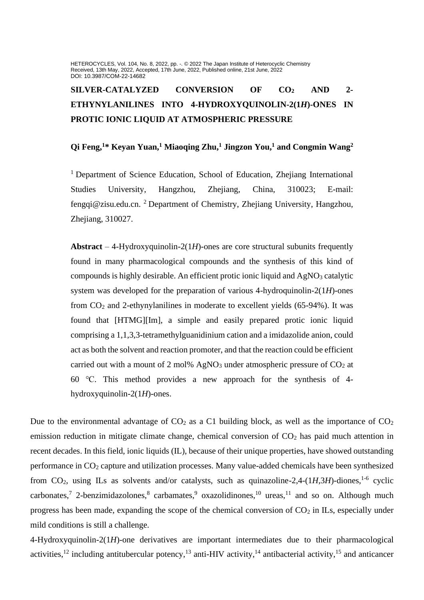HETEROCYCLES, Vol. 104, No. 8, 2022, pp. -. @ 2022 The Japan Institute of Heterocyclic Chemistry Received, 13th May, 2022, Accepted, 17th June, 2022, Published online, 21st June, 2022 DOI: 10.3987/COM-22-14682

# **SILVER-CATALYZED CONVERSION OF CO<sup>2</sup> AND 2- ETHYNYLANILINES INTO 4-HYDROXYQUINOLIN-2(1***H***)-ONES IN PROTIC IONIC LIQUID AT ATMOSPHERIC PRESSURE**

## **Qi Feng,<sup>1</sup>\* Keyan Yuan,<sup>1</sup> Miaoqing Zhu,<sup>1</sup> Jingzon You, <sup>1</sup> and Congmin Wang<sup>2</sup>**

<sup>1</sup> Department of Science Education, School of Education, Zhejiang International Studies University, Hangzhou, Zhejiang, China, 310023; E-mail: fengqi@zisu.edu.cn. <sup>2</sup> Department of Chemistry, Zhejiang University, Hangzhou, Zhejiang, 310027.

**Abstract** – 4-Hydroxyquinolin-2(1*H*)-ones are core structural subunits frequently found in many pharmacological compounds and the synthesis of this kind of compounds is highly desirable. An efficient protic ionic liquid and  $AgNO<sub>3</sub>$  catalytic system was developed for the preparation of various 4-hydroquinolin-2(1*H*)-ones from CO<sup>2</sup> and 2-ethynylanilines in moderate to excellent yields (65-94%). It was found that [HTMG][Im], a simple and easily prepared protic ionic liquid comprising a 1,1,3,3-tetramethylguanidinium cation and a imidazolide anion, could act as both the solvent and reaction promoter, and that the reaction could be efficient carried out with a mount of 2 mol% AgNO<sub>3</sub> under atmospheric pressure of  $CO<sub>2</sub>$  at 60 ℃. This method provides a new approach for the synthesis of 4 hydroxyquinolin-2(1*H*)-ones.

Due to the environmental advantage of  $CO<sub>2</sub>$  as a C1 building block, as well as the importance of  $CO<sub>2</sub>$ emission reduction in mitigate climate change, chemical conversion of  $CO<sub>2</sub>$  has paid much attention in recent decades. In this field, ionic liquids (IL), because of their unique properties, have showed outstanding performance in  $CO<sub>2</sub>$  capture and utilization processes. Many value-added chemicals have been synthesized from CO<sub>2</sub>, using ILs as solvents and/or catalysts, such as quinazoline-2,4- $(1H,3H)$ -diones, <sup>1-6</sup> cyclic carbonates,<sup>7</sup> 2-benzimidazolones,<sup>8</sup> carbamates,<sup>9</sup> oxazolidinones,<sup>10</sup> ureas,<sup>11</sup> and so on. Although much progress has been made, expanding the scope of the chemical conversion of  $CO<sub>2</sub>$  in ILs, especially under mild conditions is still a challenge.

4-Hydroxyquinolin-2(1*H*)-one derivatives are important intermediates due to their pharmacological activities,<sup>12</sup> including antitubercular potency,<sup>13</sup> anti-HIV activity,<sup>14</sup> antibacterial activity,<sup>15</sup> and anticancer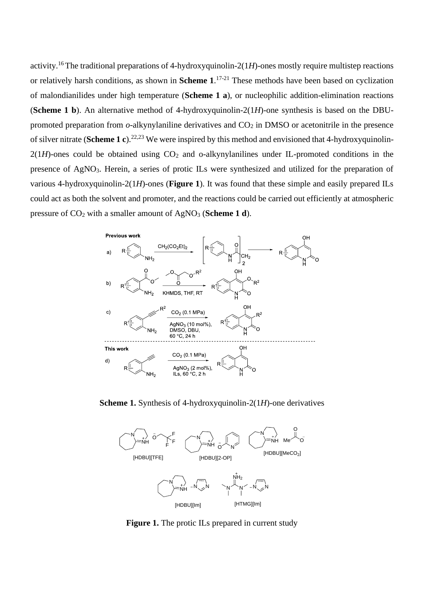activity.<sup>16</sup>The traditional preparations of 4-hydroxyquinolin-2(1*H*)-ones mostly require multistep reactions or relatively harsh conditions, as shown in **Scheme 1**. 17-21 These methods have been based on cyclization of malondianilides under high temperature (**Scheme 1 a**), or nucleophilic addition-elimination reactions (**Scheme 1 b**). An alternative method of 4-hydroxyquinolin-2(1*H*)-one synthesis is based on the DBUpromoted preparation from  $o$ -alkynylaniline derivatives and  $CO<sub>2</sub>$  in DMSO or acetonitrile in the presence of silver nitrate (**Scheme 1 c**).22,23 We were inspired by this method and envisioned that 4-hydroxyquinolin- $2(1H)$ -ones could be obtained using  $CO<sub>2</sub>$  and o-alkynylanilines under IL-promoted conditions in the presence of AgNO3. Herein, a series of protic ILs were synthesized and utilized for the preparation of various 4-hydroxyquinolin-2(1*H*)-ones (**Figure 1**). It was found that these simple and easily prepared ILs could act as both the solvent and promoter, and the reactions could be carried out efficiently at atmospheric pressure of CO<sup>2</sup> with a smaller amount of AgNO<sup>3</sup> (**Scheme 1 d**).



**Scheme 1.** Synthesis of 4-hydroxyquinolin-2(1*H*)-one derivatives



**Figure 1.** The protic ILs prepared in current study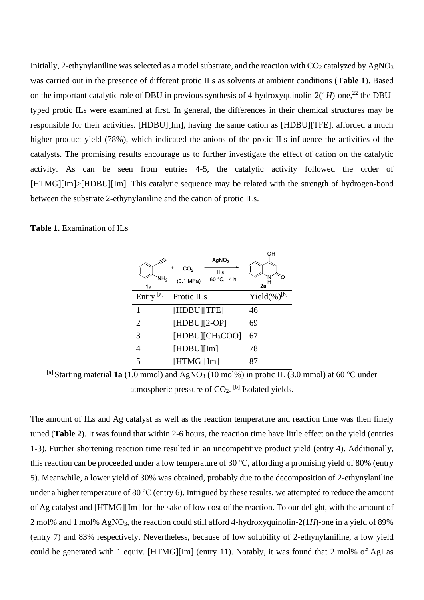Initially, 2-ethynylaniline was selected as a model substrate, and the reaction with  $CO<sub>2</sub>$  catalyzed by AgNO<sub>3</sub> was carried out in the presence of different protic ILs as solvents at ambient conditions (**Table 1**). Based on the important catalytic role of DBU in previous synthesis of 4-hydroxyquinolin-2( $1H$ )-one,<sup>22</sup> the DBUtyped protic ILs were examined at first. In general, the differences in their chemical structures may be responsible for their activities. [HDBU][Im], having the same cation as [HDBU][TFE], afforded a much higher product yield (78%), which indicated the anions of the protic ILs influence the activities of the catalysts. The promising results encourage us to further investigate the effect of cation on the catalytic activity. As can be seen from entries 4-5, the catalytic activity followed the order of [HTMG][Im]>[HDBU][Im]. This catalytic sequence may be related with the strength of hydrogen-bond between the substrate 2-ethynylaniline and the cation of protic ILs.

#### **Table 1.** Examination of ILs

| NH <sub>2</sub><br>1a | AqNO <sub>3</sub><br>+<br>CO <sub>2</sub><br>ILs<br>60 °C, 4 h<br>(0.1 MPa) | ΟН<br>2a           |
|-----------------------|-----------------------------------------------------------------------------|--------------------|
| [a]<br>Entry          | Protic IL <sub>s</sub>                                                      | Yield $(\%)^{[b]}$ |
| 1                     | [HDBU][TFE]                                                                 | 46                 |
| 2                     | $[HDBU][2-OP]$                                                              | 69                 |
| 3                     | [HDBU][CH <sub>3</sub> COO]                                                 | 67                 |
| 4                     | [HDBU][Im]                                                                  | 78                 |
| 5                     | [HTMG][Im]                                                                  | 87                 |

[a] Starting material **1a** (1.0 mmol) and AgNO<sub>3</sub> (10 mol%) in protic IL (3.0 mmol) at 60 °C under atmospheric pressure of  $CO<sub>2</sub>$ . <sup>[b]</sup> Isolated yields.

The amount of ILs and Ag catalyst as well as the reaction temperature and reaction time was then finely tuned (**Table 2**). It was found that within 2-6 hours, the reaction time have little effect on the yield (entries 1-3). Further shortening reaction time resulted in an uncompetitive product yield (entry 4). Additionally, this reaction can be proceeded under a low temperature of 30 ℃, affording a promising yield of 80% (entry 5). Meanwhile, a lower yield of 30% was obtained, probably due to the decomposition of 2-ethynylaniline under a higher temperature of 80 ℃ (entry 6). Intrigued by these results, we attempted to reduce the amount of Ag catalyst and [HTMG][Im] for the sake of low cost of the reaction. To our delight, with the amount of 2 mol% and 1 mol% AgNO3, the reaction could still afford 4-hydroxyquinolin-2(1*H*)-one in a yield of 89% (entry 7) and 83% respectively. Nevertheless, because of low solubility of 2-ethynylaniline, a low yield could be generated with 1 equiv. [HTMG][Im] (entry 11). Notably, it was found that 2 mol% of AgI as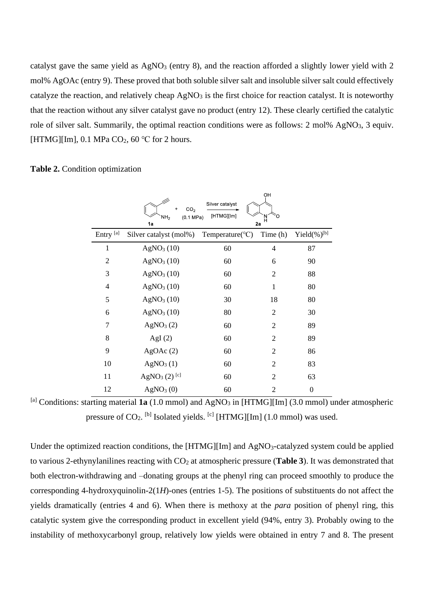catalyst gave the same yield as AgNO<sub>3</sub> (entry 8), and the reaction afforded a slightly lower yield with 2 mol% AgOAc (entry 9). These proved that both soluble silver salt and insoluble silver salt could effectively catalyze the reaction, and relatively cheap  $AgNO<sub>3</sub>$  is the first choice for reaction catalyst. It is noteworthy that the reaction without any silver catalyst gave no product (entry 12). These clearly certified the catalytic role of silver salt. Summarily, the optimal reaction conditions were as follows: 2 mol% AgNO<sub>3</sub>, 3 equiv. [HTMG][Im], 0.1 MPa  $CO<sub>2</sub>$ , 60 °C for 2 hours.

#### **Table 2.** Condition optimization

|                      | CO <sub>2</sub><br>$\ddot{}$<br>NH <sub>2</sub><br>(0.1 MPa)<br>1a | Silver catalyst<br>[HTMG][Im] | OH<br>'N<br>H<br>2a |                    |
|----------------------|--------------------------------------------------------------------|-------------------------------|---------------------|--------------------|
| Entry <sup>[a]</sup> | Silver catalyst (mol%)                                             | Temperature( ${}^{\circ}C$ )  | Time (h)            | Yield $(\%)^{[b]}$ |
| 1                    | AgNO <sub>3</sub> (10)                                             | 60                            | $\overline{4}$      | 87                 |
| 2                    | AgNO <sub>3</sub> (10)                                             | 60                            | 6                   | 90                 |
| 3                    | AgNO <sub>3</sub> (10)                                             | 60                            | $\overline{2}$      | 88                 |
| $\overline{4}$       | AgNO <sub>3</sub> (10)                                             | 60                            | $\mathbf{1}$        | 80                 |
| 5                    | AgNO <sub>3</sub> (10)                                             | 30                            | 18                  | 80                 |
| 6                    | AgNO <sub>3</sub> (10)                                             | 80                            | $\overline{2}$      | 30                 |
| 7                    | AgNO <sub>3</sub> (2)                                              | 60                            | $\overline{2}$      | 89                 |
| 8                    | AgI $(2)$                                                          | 60                            | $\overline{2}$      | 89                 |
| 9                    | AgOAc(2)                                                           | 60                            | $\overline{2}$      | 86                 |
| 10                   | AgNO <sub>3</sub> (1)                                              | 60                            | $\overline{2}$      | 83                 |
| 11                   | AgNO <sub>3</sub> (2) <sup>[c]</sup>                               | 60                            | $\overline{2}$      | 63                 |
| 12                   | AgNO <sub>3</sub> (0)                                              | 60                            | $\overline{2}$      | $\boldsymbol{0}$   |

[a] Conditions: starting material  $1a(1.0 \text{ mmol})$  and  $AgNO<sub>3</sub>$  in [HTMG][Im] (3.0 mmol) under atmospheric pressure of  $CO_2$ . <sup>[b]</sup> Isolated yields. <sup>[c]</sup> [HTMG][Im] (1.0 mmol) was used.

Under the optimized reaction conditions, the [HTMG][Im] and AgNO<sub>3</sub>-catalyzed system could be applied to various 2-ethynylanilines reacting with CO<sup>2</sup> at atmospheric pressure (**Table 3**). It was demonstrated that both electron-withdrawing and –donating groups at the phenyl ring can proceed smoothly to produce the corresponding 4-hydroxyquinolin-2(1*H*)-ones (entries 1-5). The positions of substituents do not affect the yields dramatically (entries 4 and 6). When there is methoxy at the *para* position of phenyl ring, this catalytic system give the corresponding product in excellent yield (94%, entry 3). Probably owing to the instability of methoxycarbonyl group, relatively low yields were obtained in entry 7 and 8. The present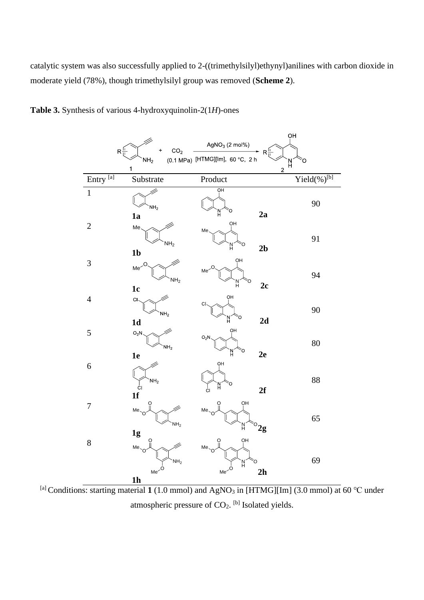catalytic system was also successfully applied to 2-((trimethylsilyl)ethynyl)anilines with carbon dioxide in moderate yield (78%), though trimethylsilyl group was removed (**Scheme 2**).





[a] Conditions: starting material **1** (1.0 mmol) and AgNO<sup>3</sup> in [HTMG][Im] (3.0 mmol) at 60 ℃ under atmospheric pressure of  $CO<sub>2</sub>$ . <sup>[b]</sup> Isolated yields.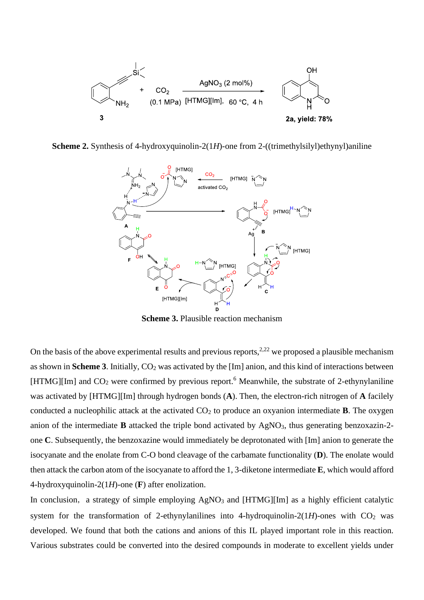

**Scheme 2.** Synthesis of 4-hydroxyquinolin-2(1*H*)-one from 2-((trimethylsilyl)ethynyl)aniline



**Scheme 3.** Plausible reaction mechanism

On the basis of the above experimental results and previous reports,  $2.22$  we proposed a plausible mechanism as shown in **Scheme 3**. Initially, CO<sub>2</sub> was activated by the [Im] anion, and this kind of interactions between [HTMG][Im] and  $CO<sub>2</sub>$  were confirmed by previous report.<sup>6</sup> Meanwhile, the substrate of 2-ethynylaniline was activated by [HTMG][Im] through hydrogen bonds (**A**). Then, the electron-rich nitrogen of **A** facilely conducted a nucleophilic attack at the activated  $CO<sub>2</sub>$  to produce an oxyanion intermediate **B**. The oxygen anion of the intermediate **B** attacked the triple bond activated by AgNO<sub>3</sub>, thus generating benzoxazin-2one **C**. Subsequently, the benzoxazine would immediately be deprotonated with [Im] anion to generate the isocyanate and the enolate from C-O bond cleavage of the carbamate functionality (**D**). The enolate would then attack the carbon atom of the isocyanate to afford the 1, 3-diketone intermediate **E**, which would afford 4-hydroxyquinolin-2(1*H*)-one (**F**) after enolization.

In conclusion, a strategy of simple employing  $AgNO<sub>3</sub>$  and [HTMG][Im] as a highly efficient catalytic system for the transformation of 2-ethynylanilines into 4-hydroquinolin-2( $1H$ )-ones with  $CO<sub>2</sub>$  was developed. We found that both the cations and anions of this IL played important role in this reaction. Various substrates could be converted into the desired compounds in moderate to excellent yields under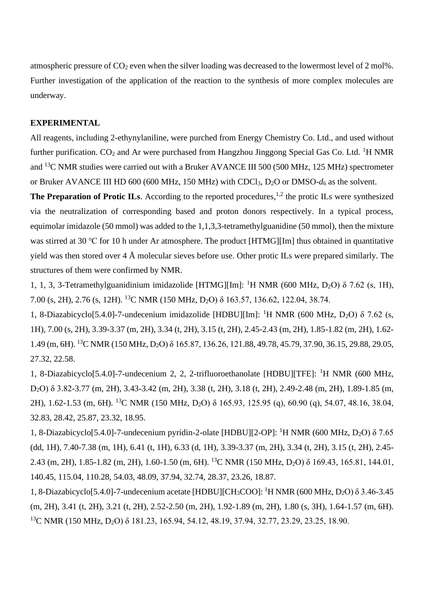atmospheric pressure of CO<sub>2</sub> even when the silver loading was decreased to the lowermost level of 2 mol%. Further investigation of the application of the reaction to the synthesis of more complex molecules are underway.

### **EXPERIMENTAL**

All reagents, including 2-ethynylaniline, were purched from Energy Chemistry Co. Ltd., and used without further purification.  $CO_2$  and Ar were purchased from Hangzhou Jinggong Special Gas Co. Ltd. <sup>1</sup>H NMR and <sup>13</sup>C NMR studies were carried out with a Bruker AVANCE III 500 (500 MHz, 125 MHz) spectrometer or Bruker AVANCE III HD 600 (600 MHz, 150 MHz) with CDCl3, D2O or DMSO-*d*<sup>6</sup> as the solvent.

**The Preparation of Protic ILs.** According to the reported procedures,<sup>1,2</sup> the protic ILs were synthesized via the neutralization of corresponding based and proton donors respectively. In a typical process, equimolar imidazole (50 mmol) was added to the 1,1,3,3-tetramethylguanidine (50 mmol), then the mixture was stirred at 30 ℃ for 10 h under Ar atmosphere. The product [HTMG][Im] thus obtained in quantitative yield was then stored over 4 Å molecular sieves before use. Other protic ILs were prepared similarly. The structures of them were confirmed by NMR.

1, 1, 3, 3-Tetramethylguanidinium imidazolide [HTMG][Im]: <sup>1</sup>H NMR (600 MHz, D<sub>2</sub>O)  $\delta$  7.62 (s, 1H), 7.00 (s, 2H), 2.76 (s, 12H). <sup>13</sup>C NMR (150 MHz, D2O) δ 163.57, 136.62, 122.04, 38.74.

1, 8-Diazabicyclo[5.4.0]-7-undecenium imidazolide [HDBU][Im]: <sup>1</sup>H NMR (600 MHz, D<sub>2</sub>O)  $\delta$  7.62 (s, 1H), 7.00 (s, 2H), 3.39-3.37 (m, 2H), 3.34 (t, 2H), 3.15 (t, 2H), 2.45-2.43 (m, 2H), 1.85-1.82 (m, 2H), 1.62- 1.49 (m, 6H). <sup>13</sup>C NMR (150 MHz, D2O) δ 165.87, 136.26, 121.88, 49.78, 45.79, 37.90, 36.15, 29.88, 29.05, 27.32, 22.58.

1, 8-Diazabicyclo[5.4.0]-7-undecenium 2, 2, 2-trifluoroethanolate [HDBU][TFE]: <sup>1</sup>H NMR (600 MHz, D2O) δ 3.82-3.77 (m, 2H), 3.43-3.42 (m, 2H), 3.38 (t, 2H), 3.18 (t, 2H), 2.49-2.48 (m, 2H), 1.89-1.85 (m, 2H), 1.62-1.53 (m, 6H). <sup>13</sup>C NMR (150 MHz, D2O) δ 165.93, 125.95 (q), 60.90 (q), 54.07, 48.16, 38.04, 32.83, 28.42, 25.87, 23.32, 18.95.

1, 8-Diazabicyclo[5.4.0]-7-undecenium pyridin-2-olate [HDBU][2-OP]: <sup>1</sup>H NMR (600 MHz, D<sub>2</sub>O)  $\delta$  7.65 (dd, 1H), 7.40-7.38 (m, 1H), 6.41 (t, 1H), 6.33 (d, 1H), 3.39-3.37 (m, 2H), 3.34 (t, 2H), 3.15 (t, 2H), 2.45- 2.43 (m, 2H), 1.85-1.82 (m, 2H), 1.60-1.50 (m, 6H). <sup>13</sup>C NMR (150 MHz, D2O) δ 169.43, 165.81, 144.01, 140.45, 115.04, 110.28, 54.03, 48.09, 37.94, 32.74, 28.37, 23.26, 18.87.

1, 8-Diazabicyclo[5.4.0]-7-undecenium acetate [HDBU][CH3COO]: <sup>1</sup>H NMR (600 MHz, D2O) δ 3.46-3.45 (m, 2H), 3.41 (t, 2H), 3.21 (t, 2H), 2.52-2.50 (m, 2H), 1.92-1.89 (m, 2H), 1.80 (s, 3H), 1.64-1.57 (m, 6H). <sup>13</sup>C NMR (150 MHz, D<sub>2</sub>O) δ 181.23, 165.94, 54.12, 48.19, 37.94, 32.77, 23.29, 23.25, 18.90.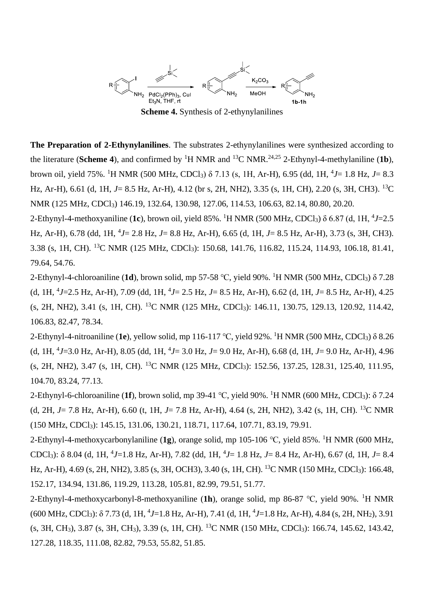

**The Preparation of 2-Ethynylanilines**. The substrates 2-ethynylanilines were synthesized according to the literature (**Scheme 4**), and confirmed by <sup>1</sup>H NMR and <sup>13</sup>C NMR.<sup>24,25</sup> 2-Ethynyl-4-methylaniline (1b), brown oil, yield 75%. <sup>1</sup>H NMR (500 MHz, CDCl3) δ 7.13 (s, 1H, Ar-H), 6.95 (dd, 1H, <sup>4</sup> *J*= 1.8 Hz, *J*= 8.3 Hz, Ar-H), 6.61 (d, 1H, *J*= 8.5 Hz, Ar-H), 4.12 (br s, 2H, NH2), 3.35 (s, 1H, CH), 2.20 (s, 3H, CH3). <sup>13</sup>C NMR (125 MHz, CDCl3) 146.19, 132.64, 130.98, 127.06, 114.53, 106.63, 82.14, 80.80, 20.20.

2-Ethynyl-4-methoxyaniline (**1c**), brown oil, yield 85%. <sup>1</sup>H NMR (500 MHz, CDCl3) δ 6.87 (d, 1H, <sup>4</sup> *J*=2.5 Hz, Ar-H), 6.78 (dd, 1H, <sup>4</sup> *J*= 2.8 Hz, *J*= 8.8 Hz, Ar-H), 6.65 (d, 1H, *J*= 8.5 Hz, Ar-H), 3.73 (s, 3H, CH3). 3.38 (s, 1H, CH). <sup>13</sup>C NMR (125 MHz, CDCl3): 150.68, 141.76, 116.82, 115.24, 114.93, 106.18, 81.41, 79.64, 54.76.

2-Ethynyl-4-chloroaniline (**1d**), brown solid, mp 57-58 ℃, yield 90%. <sup>1</sup>H NMR (500 MHz, CDCl3) δ 7.28 (d, 1H, <sup>4</sup> *J*=2.5 Hz, Ar-H), 7.09 (dd, 1H, <sup>4</sup> *J*= 2.5 Hz, *J*= 8.5 Hz, Ar-H), 6.62 (d, 1H, *J*= 8.5 Hz, Ar-H), 4.25 (s, 2H, NH2), 3.41 (s, 1H, CH). <sup>13</sup>C NMR (125 MHz, CDCl3): 146.11, 130.75, 129.13, 120.92, 114.42, 106.83, 82.47, 78.34.

2-Ethynyl-4-nitroaniline (**1e**), yellow solid, mp 116-117 ℃, yield 92%. <sup>1</sup>H NMR (500 MHz, CDCl3) δ 8.26 (d, 1H, <sup>4</sup> *J*=3.0 Hz, Ar-H), 8.05 (dd, 1H, <sup>4</sup> *J*= 3.0 Hz, *J*= 9.0 Hz, Ar-H), 6.68 (d, 1H, *J*= 9.0 Hz, Ar-H), 4.96 (s, 2H, NH2), 3.47 (s, 1H, CH). <sup>13</sup>C NMR (125 MHz, CDCl3): 152.56, 137.25, 128.31, 125.40, 111.95, 104.70, 83.24, 77.13.

2-Ethynyl-6-chloroaniline (**1f**), brown solid, mp 39-41 ℃, yield 90%. <sup>1</sup>H NMR (600 MHz, CDCl3): δ 7.24 (d, 2H, *J*= 7.8 Hz, Ar-H), 6.60 (t, 1H, *J*= 7.8 Hz, Ar-H), 4.64 (s, 2H, NH2), 3.42 (s, 1H, CH). <sup>13</sup>C NMR (150 MHz, CDCl3): 145.15, 131.06, 130.21, 118.71, 117.64, 107.71, 83.19, 79.91.

2-Ethynyl-4-methoxycarbonylaniline (**1g**), orange solid, mp 105-106 ℃, yield 85%. <sup>1</sup>H NMR (600 MHz, CDCl3): δ 8.04 (d, 1H, <sup>4</sup> *J*=1.8 Hz, Ar-H), 7.82 (dd, 1H, <sup>4</sup> *J*= 1.8 Hz, *J*= 8.4 Hz, Ar-H), 6.67 (d, 1H, *J*= 8.4 Hz, Ar-H), 4.69 (s, 2H, NH2), 3.85 (s, 3H, OCH3), 3.40 (s, 1H, CH). <sup>13</sup>C NMR (150 MHz, CDCl<sub>3</sub>): 166.48, 152.17, 134.94, 131.86, 119.29, 113.28, 105.81, 82.99, 79.51, 51.77.

2-Ethynyl-4-methoxycarbonyl-8-methoxyaniline (**1h**), orange solid, mp 86-87 ℃, yield 90%. <sup>1</sup>H NMR (600 MHz, CDCl3): δ 7.73 (d, 1H, <sup>4</sup> *J*=1.8 Hz, Ar-H), 7.41 (d, 1H, <sup>4</sup> *J*=1.8 Hz, Ar-H), 4.84 (s, 2H, NH2), 3.91 (s, 3H, CH3), 3.87 (s, 3H, CH3), 3.39 (s, 1H, CH). <sup>13</sup>C NMR (150 MHz, CDCl3): 166.74, 145.62, 143.42, 127.28, 118.35, 111.08, 82.82, 79.53, 55.82, 51.85.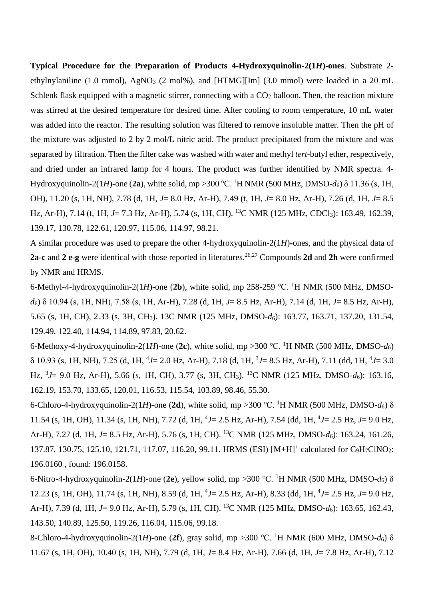**Typical Procedure for the Preparation of Products 4-Hydroxyquinolin-2(1***H***)-ones**. Substrate 2 ethylnylaniline (1.0 mmol), AgNO<sub>3</sub> (2 mol%), and [HTMG][Im] (3.0 mmol) were loaded in a 20 mL Schlenk flask equipped with a magnetic stirrer, connecting with a  $CO<sub>2</sub>$  balloon. Then, the reaction mixture was stirred at the desired temperature for desired time. After cooling to room temperature, 10 mL water was added into the reactor. The resulting solution was filtered to remove insoluble matter. Then the pH of the mixture was adjusted to 2 by 2 mol/L nitric acid. The product precipitated from the mixture and was separated by filtration. Then the filter cake was washed with water and methyl *tert*-butyl ether, respectively, and dried under an infrared lamp for 4 hours. The product was further identified by NMR spectra. 4- Hydroxyquinolin-2(1*H*)-one (2a), white solid, mp >300 °C. <sup>1</sup>H NMR (500 MHz, DMSO- $d_6$ )  $\delta$  11.36 (s, 1H, OH), 11.20 (s, 1H, NH), 7.78 (d, 1H, *J*= 8.0 Hz, Ar-H), 7.49 (t, 1H, *J*= 8.0 Hz, Ar-H), 7.26 (d, 1H, *J*= 8.5 Hz, Ar-H), 7.14 (t, 1H, *J*= 7.3 Hz, Ar-H), 5.74 (s, 1H, CH). <sup>13</sup>C NMR (125 MHz, CDCl<sub>3</sub>): 163.49, 162.39, 139.17, 130.78, 122.61, 120.97, 115.06, 114.97, 98.21.

A similar procedure was used to prepare the other 4-hydroxyquinolin-2(1*H*)-ones, and the physical data of **2a-c** and **2 e-g** were identical with those reported in literatures. 26,27 Compounds **2d** and **2h** were confirmed by NMR and HRMS.

6-Methyl-4-hydroxyquinolin-2(1*H*)-one (**2b**), white solid, mp 258-259 ℃. <sup>1</sup>H NMR (500 MHz, DMSO*d*6) δ 10.94 (s, 1H, NH), 7.58 (s, 1H, Ar-H), 7.28 (d, 1H, *J*= 8.5 Hz, Ar-H), 7.14 (d, 1H, *J*= 8.5 Hz, Ar-H), 5.65 (s, 1H, CH), 2.33 (s, 3H, CH3). 13C NMR (125 MHz, DMSO-*d*6): 163.77, 163.71, 137.20, 131.54, 129.49, 122.40, 114.94, 114.89, 97.83, 20.62.

6-Methoxy-4-hydroxyquinolin-2(1*H*)-one (**2c**), white solid, mp >300 ℃. <sup>1</sup>H NMR (500 MHz, DMSO-*d*6) δ 10.93 (s, 1H, NH), 7.25 (d, 1H, <sup>4</sup> *J*= 2.0 Hz, Ar-H), 7.18 (d, 1H, <sup>3</sup> *J*= 8.5 Hz, Ar-H), 7.11 (dd, 1H, <sup>4</sup> *J*= 3.0 Hz, <sup>3</sup> *J*= 9.0 Hz, Ar-H), 5.66 (s, 1H, CH), 3.77 (s, 3H, CH3). <sup>13</sup>C NMR (125 MHz, DMSO-*d*6): 163.16, 162.19, 153.70, 133.65, 120.01, 116.53, 115.54, 103.89, 98.46, 55.30.

6-Chloro-4-hydroxyquinolin-2(1*H*)-one (**2d**), white solid, mp >300 ℃. <sup>1</sup>H NMR (500 MHz, DMSO-*d*6) δ 11.54 (s, 1H, OH), 11.34 (s, 1H, NH), 7.72 (d, 1H, <sup>4</sup> *J*= 2.5 Hz, Ar-H), 7.54 (dd, 1H, <sup>4</sup> *J*= 2.5 Hz, *J*= 9.0 Hz, Ar-H), 7.27 (d, 1H, *J*= 8.5 Hz, Ar-H), 5.76 (s, 1H, CH). <sup>13</sup>C NMR (125 MHz, DMSO-*d*6): 163.24, 161.26, 137.87, 130.75, 125.10, 121.71, 117.07, 116.20, 99.11. HRMS (ESI) [M+H]<sup>+</sup> calculated for C<sub>9</sub>H<sub>7</sub>ClNO<sub>2</sub>: 196.0160 , found: 196.0158.

6-Nitro-4-hydroxyquinolin-2(1*H*)-one (**2e**), yellow solid, mp >300 ℃. <sup>1</sup>H NMR (500 MHz, DMSO-*d*6) δ 12.23 (s, 1H, OH), 11.74 (s, 1H, NH), 8.59 (d, 1H, <sup>4</sup> *J*= 2.5 Hz, Ar-H), 8.33 (dd, 1H, <sup>4</sup> *J*= 2.5 Hz, *J*= 9.0 Hz, Ar-H), 7.39 (d, 1H, *J*= 9.0 Hz, Ar-H), 5.79 (s, 1H, CH). <sup>13</sup>C NMR (125 MHz, DMSO-*d*6): 163.65, 162.43, 143.50, 140.89, 125.50, 119.26, 116.04, 115.06, 99.18.

8-Chloro-4-hydroxyquinolin-2(1*H*)-one (**2f**), gray solid, mp >300 ℃. <sup>1</sup>H NMR (600 MHz, DMSO-*d*6) δ 11.67 (s, 1H, OH), 10.40 (s, 1H, NH), 7.79 (d, 1H, *J*= 8.4 Hz, Ar-H), 7.66 (d, 1H, *J*= 7.8 Hz, Ar-H), 7.12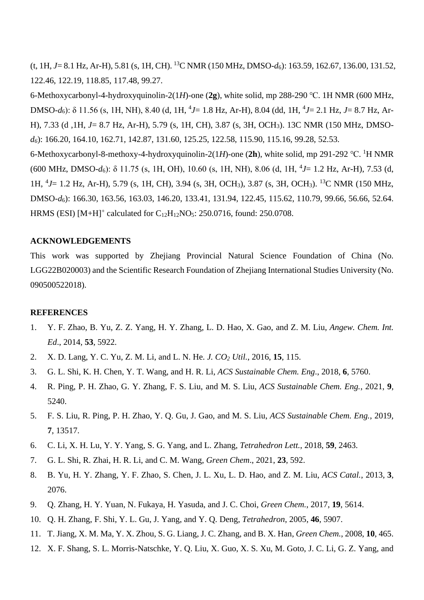(t, 1H, *J*= 8.1 Hz, Ar-H), 5.81 (s, 1H, CH). <sup>13</sup>C NMR (150 MHz, DMSO-*d*6): 163.59, 162.67, 136.00, 131.52, 122.46, 122.19, 118.85, 117.48, 99.27.

6-Methoxycarbonyl-4-hydroxyquinolin-2(1*H*)-one (**2g**), white solid, mp 288-290 ℃. 1H NMR (600 MHz, DMSO-*d*6): δ 11.56 (s, 1H, NH), 8.40 (d, 1H, <sup>4</sup> *J*= 1.8 Hz, Ar-H), 8.04 (dd, 1H, <sup>4</sup> *J*= 2.1 Hz, *J*= 8.7 Hz, Ar-H), 7.33 (d ,1H, *J*= 8.7 Hz, Ar-H), 5.79 (s, 1H, CH), 3.87 (s, 3H, OCH3). 13C NMR (150 MHz, DMSO*d6*): 166.20, 164.10, 162.71, 142.87, 131.60, 125.25, 122.58, 115.90, 115.16, 99.28, 52.53.

6-Methoxycarbonyl-8-methoxy-4-hydroxyquinolin-2(1*H*)-one (**2h**), white solid, mp 291-292 ℃. <sup>1</sup>H NMR (600 MHz, DMSO-*d*6): δ 11.75 (s, 1H, OH), 10.60 (s, 1H, NH), 8.06 (d, 1H, <sup>4</sup> *J*= 1.2 Hz, Ar-H), 7.53 (d, 1H, <sup>4</sup> *J*= 1.2 Hz, Ar-H), 5.79 (s, 1H, CH), 3.94 (s, 3H, OCH3), 3.87 (s, 3H, OCH3). <sup>13</sup>C NMR (150 MHz, DMSO-*d*6): 166.30, 163.56, 163.03, 146.20, 133.41, 131.94, 122.45, 115.62, 110.79, 99.66, 56.66, 52.64. HRMS (ESI) [M+H]<sup>+</sup> calculated for  $C_{12}H_{12}NO<sub>5</sub>$ : 250.0716, found: 250.0708.

## **ACKNOWLEDGEMENTS**

This work was supported by Zhejiang Provincial Natural Science Foundation of China (No. LGG22B020003) and the Scientific Research Foundation of Zhejiang International Studies University (No. 090500522018).

#### **REFERENCES**

- 1. Y. F. Zhao, B. Yu, Z. Z. Yang, H. Y. Zhang, L. D. Hao, X. Gao, and Z. M. Liu, *Angew. Chem. Int. Ed*., 2014, **53**, 5922.
- 2. X. D. Lang, Y. C. Yu, Z. M. Li, and L. N. He. *J. CO<sup>2</sup> Util.*, 2016, **15**, 115.
- 3. G. L. Shi, K. H. Chen, Y. T. Wang, and H. R. Li, *ACS Sustainable Chem. Eng*., 2018, **6**, 5760.
- 4. R. Ping, P. H. Zhao, G. Y. Zhang, F. S. Liu, and M. S. Liu, *ACS Sustainable Chem. Eng.*, 2021, **9**, 5240.
- 5. F. S. Liu, R. Ping, P. H. Zhao, Y. Q. Gu, J. Gao, and M. S. Liu, *ACS Sustainable Chem. Eng.*, 2019, **7**, 13517.
- 6. C. Li, X. H. Lu, Y. Y. Yang, S. G. Yang, and L. Zhang, *Tetrahedron Lett.*, 2018, **59**, 2463.
- 7. G. L. Shi, R. Zhai, H. R. Li, and C. M. Wang, *Green Chem*., 2021, **23**, 592.
- 8. B. Yu, H. Y. Zhang, Y. F. Zhao, S. Chen, J. L. Xu, L. D. Hao, and Z. M. Liu, *ACS Catal.*, 2013, **3**, 2076.
- 9. Q. Zhang, H. Y. Yuan, N. Fukaya, H. Yasuda, and J. C. Choi, *Green Chem.*, 2017, **19**, 5614.
- 10. Q. H. Zhang, F. Shi, Y. L. Gu, J. Yang, and Y. Q. Deng, *Tetrahedron*, 2005, **46**, 5907.
- 11. T. Jiang, X. M. Ma, Y. X. Zhou, S. G. Liang, J. C. Zhang, and B. X. Han, *Green Chem.*, 2008, **10**, 465.
- 12. X. F. Shang, S. L. Morris-Natschke, Y. Q. Liu, X. Guo, X. S. Xu, M. Goto, J. C. Li, G. Z. Yang, and